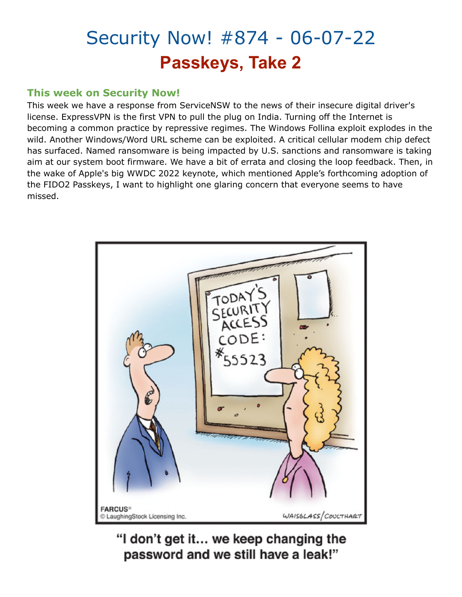# Security Now! #874 - 06-07-22 **Passkeys, Take 2**

# **This week on Security Now!**

This week we have a response from ServiceNSW to the news of their insecure digital driver's license. ExpressVPN is the first VPN to pull the plug on India. Turning off the Internet is becoming a common practice by repressive regimes. The Windows Follina exploit explodes in the wild. Another Windows/Word URL scheme can be exploited. A critical cellular modem chip defect has surfaced. Named ransomware is being impacted by U.S. sanctions and ransomware is taking aim at our system boot firmware. We have a bit of errata and closing the loop feedback. Then, in the wake of Apple's big WWDC 2022 keynote, which mentioned Apple's forthcoming adoption of the FIDO2 Passkeys, I want to highlight one glaring concern that everyone seems to have missed.



"I don't get it... we keep changing the password and we still have a leak!"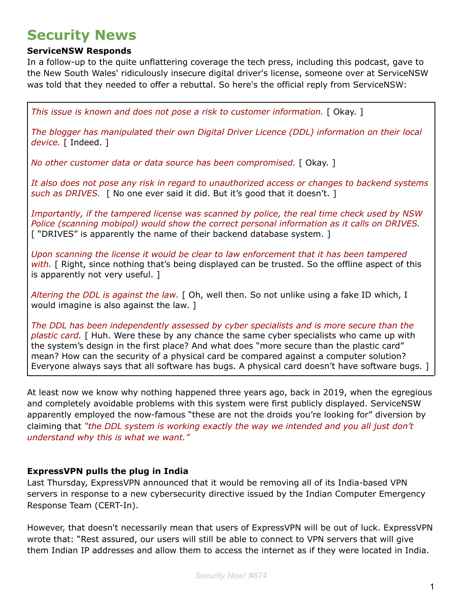# **Security News**

# **ServiceNSW Responds**

In a follow-up to the quite unflattering coverage the tech press, including this podcast, gave to the New South Wales' ridiculously insecure digital driver's license, someone over at ServiceNSW was told that they needed to offer a rebuttal. So here's the official reply from ServiceNSW:

*This issue is known and does not pose a risk to customer information.* [ Okay. ]

*The blogger has manipulated their own Digital Driver Licence (DDL) information on their local* device. [ Indeed. ]

*No other customer data or data source has been compromised.* [ Okay. ]

*It also does not pose any risk in regard to unauthorized access or changes to backend systems such as DRIVES.* [ No one ever said it did. But it's good that it doesn't. ]

*Importantly, if the tampered license was scanned by police, the real time check used by NSW Police (scanning mobipol) would show the correct personal information as it calls on DRIVES.* [ "DRIVES" is apparently the name of their backend database system. ]

*Upon scanning the license it would be clear to law enforcement that it has been tampered with.* [ Right, since nothing that's being displayed can be trusted. So the offline aspect of this is apparently not very useful. ]

*Altering the DDL is against the law.* [ Oh, well then. So not unlike using a fake ID which, I would imagine is also against the law. ]

*The DDL has been independently assessed by cyber specialists and is more secure than the plastic card.* [ Huh. Were these by any chance the same cyber specialists who came up with the system's design in the first place? And what does "more secure than the plastic card" mean? How can the security of a physical card be compared against a computer solution? Everyone always says that all software has bugs. A physical card doesn't have software bugs. ]

At least now we know why nothing happened three years ago, back in 2019, when the egregious and completely avoidable problems with this system were first publicly displayed. ServiceNSW apparently employed the now-famous "these are not the droids you're looking for" diversion by claiming that *"the DDL system is working exactly the way we intended and you all just don't understand why this is what we want."*

# **ExpressVPN pulls the plug in India**

Last Thursday, ExpressVPN announced that it would be removing all of its India-based VPN servers in response to a new cybersecurity directive issued by the Indian Computer Emergency Response Team (CERT-In).

However, that doesn't necessarily mean that users of ExpressVPN will be out of luck. ExpressVPN wrote that: "Rest assured, our users will still be able to connect to VPN servers that will give them Indian IP addresses and allow them to access the internet as if they were located in India.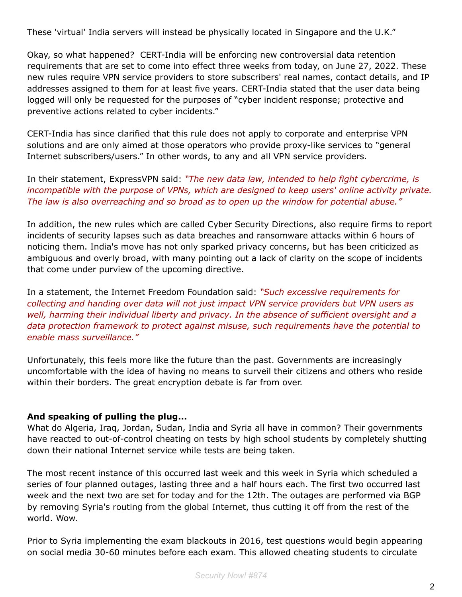These 'virtual' India servers will instead be physically located in Singapore and the U.K."

Okay, so what happened? CERT-India will be enforcing new controversial data retention requirements that are set to come into effect three weeks from today, on June 27, 2022. These new rules require VPN service providers to store subscribers' real names, contact details, and IP addresses assigned to them for at least five years. CERT-India stated that the user data being logged will only be requested for the purposes of "cyber incident response; protective and preventive actions related to cyber incidents."

CERT-India has since clarified that this rule does not apply to corporate and enterprise VPN solutions and are only aimed at those operators who provide proxy-like services to "general Internet subscribers/users." In other words, to any and all VPN service providers.

In their statement, ExpressVPN said: *"The new data law, intended to help fight cybercrime, is incompatible with the purpose of VPNs, which are designed to keep users' online activity private. The law is also overreaching and so broad as to open up the window for potential abuse."*

In addition, the new rules which are called Cyber Security Directions, also require firms to report incidents of security lapses such as data breaches and ransomware attacks within 6 hours of noticing them. India's move has not only sparked privacy concerns, but has been criticized as ambiguous and overly broad, with many pointing out a lack of clarity on the scope of incidents that come under purview of the upcoming directive.

In a statement, the Internet Freedom Foundation said: *"Such excessive requirements for collecting and handing over data will not just impact VPN service providers but VPN users as well, harming their individual liberty and privacy. In the absence of sufficient oversight and a data protection framework to protect against misuse, such requirements have the potential to enable mass surveillance."*

Unfortunately, this feels more like the future than the past. Governments are increasingly uncomfortable with the idea of having no means to surveil their citizens and others who reside within their borders. The great encryption debate is far from over.

# **And speaking of pulling the plug...**

What do Algeria, Iraq, Jordan, Sudan, India and Syria all have in common? Their governments have reacted to out-of-control cheating on tests by high school students by completely shutting down their national Internet service while tests are being taken.

The most recent instance of this occurred last week and this week in Syria which scheduled a series of four planned outages, lasting three and a half hours each. The first two occurred last week and the next two are set for today and for the 12th. The outages are performed via BGP by removing Syria's routing from the global Internet, thus cutting it off from the rest of the world. Wow.

Prior to Syria implementing the exam blackouts in 2016, test questions would begin appearing on social media 30-60 minutes before each exam. This allowed cheating students to circulate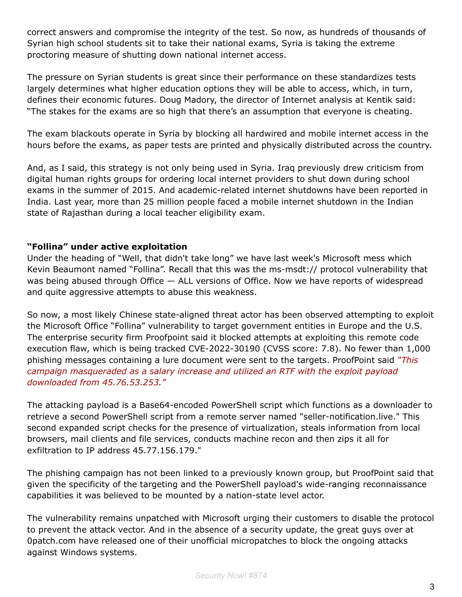correct answers and compromise the integrity of the test. So now, as hundreds of thousands of Syrian high school students sit to take their national exams, Syria is taking the extreme proctoring measure of shutting down national internet access.

The pressure on Syrian students is great since their performance on these standardizes tests largely determines what higher education options they will be able to access, which, in turn, defines their economic futures. Doug Madory, the director of Internet analysis at Kentik said: "The stakes for the exams are so high that there's an assumption that everyone is cheating.

The exam blackouts operate in Syria by blocking all hardwired and mobile internet access in the hours before the exams, as paper tests are printed and physically distributed across the country.

And, as I said, this strategy is not only being used in Syria. Iraq previously drew criticism from digital human rights groups for ordering local internet providers to shut down during school exams in the summer of 2015. And academic-related internet shutdowns have been reported in India. Last year, more than 25 million people faced a mobile internet shutdown in the Indian state of Rajasthan during a local teacher eligibility exam.

#### **"Follina" under active exploitation**

Under the heading of "Well, that didn't take long" we have last week's Microsoft mess which Kevin Beaumont named "Follina". Recall that this was the ms-msdt:// protocol vulnerability that was being abused through Office — ALL versions of Office. Now we have reports of widespread and quite aggressive attempts to abuse this weakness.

So now, a most likely Chinese state-aligned threat actor has been observed attempting to exploit the Microsoft Office "Follina" vulnerability to target government entities in Europe and the U.S. The enterprise security firm Proofpoint said it blocked attempts at exploiting this remote code execution flaw, which is being tracked CVE-2022-30190 (CVSS score: 7.8). No fewer than 1,000 phishing messages containing a lure document were sent to the targets. ProofPoint said *"This campaign masqueraded as a salary increase and utilized an RTF with the exploit payload downloaded from 45.76.53.253."*

The attacking payload is a Base64-encoded PowerShell script which functions as a downloader to retrieve a second PowerShell script from a remote server named "seller-notification.live." This second expanded script checks for the presence of virtualization, steals information from local browsers, mail clients and file services, conducts machine recon and then zips it all for exfiltration to IP address 45.77.156.179."

The phishing campaign has not been linked to a previously known group, but ProofPoint said that given the specificity of the targeting and the PowerShell payload's wide-ranging reconnaissance capabilities it was believed to be mounted by a nation-state level actor.

The vulnerability remains unpatched with Microsoft urging their customers to disable the protocol to prevent the attack vector. And in the absence of a security update, the great guys over at 0patch.com have released one of their unofficial micropatches to block the ongoing attacks against Windows systems.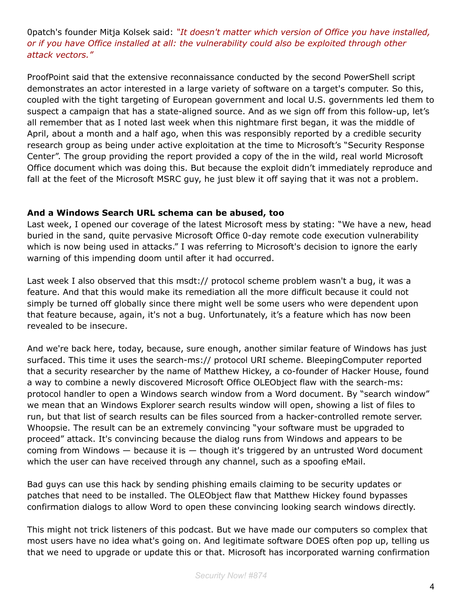0patch's founder Mitja Kolsek said: *"It doesn't matter which version of Office you have installed, or if you have Office installed at all: the vulnerability could also be exploited through other attack vectors."*

ProofPoint said that the extensive reconnaissance conducted by the second PowerShell script demonstrates an actor interested in a large variety of software on a target's computer. So this, coupled with the tight targeting of European government and local U.S. governments led them to suspect a campaign that has a state-aligned source. And as we sign off from this follow-up, let's all remember that as I noted last week when this nightmare first began, it was the middle of April, about a month and a half ago, when this was responsibly reported by a credible security research group as being under active exploitation at the time to Microsoft's "Security Response Center". The group providing the report provided a copy of the in the wild, real world Microsoft Office document which was doing this. But because the exploit didn't immediately reproduce and fall at the feet of the Microsoft MSRC guy, he just blew it off saying that it was not a problem.

#### **And a Windows Search URL schema can be abused, too**

Last week, I opened our coverage of the latest Microsoft mess by stating: "We have a new, head buried in the sand, quite pervasive Microsoft Office 0-day remote code execution vulnerability which is now being used in attacks." I was referring to Microsoft's decision to ignore the early warning of this impending doom until after it had occurred.

Last week I also observed that this msdt:// protocol scheme problem wasn't a bug, it was a feature. And that this would make its remediation all the more difficult because it could not simply be turned off globally since there might well be some users who were dependent upon that feature because, again, it's not a bug. Unfortunately, it's a feature which has now been revealed to be insecure.

And we're back here, today, because, sure enough, another similar feature of Windows has just surfaced. This time it uses the search-ms:// protocol URI scheme. BleepingComputer reported that a security researcher by the name of Matthew Hickey, a co-founder of Hacker House, found a way to combine a newly discovered Microsoft Office OLEObject flaw with the search-ms: protocol handler to open a Windows search window from a Word document. By "search window" we mean that an Windows Explorer search results window will open, showing a list of files to run, but that list of search results can be files sourced from a hacker-controlled remote server. Whoopsie. The result can be an extremely convincing "your software must be upgraded to proceed" attack. It's convincing because the dialog runs from Windows and appears to be coming from Windows  $-$  because it is  $-$  though it's triggered by an untrusted Word document which the user can have received through any channel, such as a spoofing eMail.

Bad guys can use this hack by sending phishing emails claiming to be security updates or patches that need to be installed. The OLEObject flaw that Matthew Hickey found bypasses confirmation dialogs to allow Word to open these convincing looking search windows directly.

This might not trick listeners of this podcast. But we have made our computers so complex that most users have no idea what's going on. And legitimate software DOES often pop up, telling us that we need to upgrade or update this or that. Microsoft has incorporated warning confirmation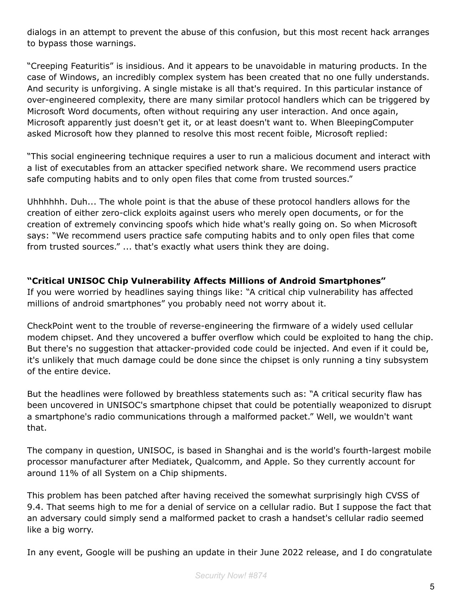dialogs in an attempt to prevent the abuse of this confusion, but this most recent hack arranges to bypass those warnings.

"Creeping Featuritis" is insidious. And it appears to be unavoidable in maturing products. In the case of Windows, an incredibly complex system has been created that no one fully understands. And security is unforgiving. A single mistake is all that's required. In this particular instance of over-engineered complexity, there are many similar protocol handlers which can be triggered by Microsoft Word documents, often without requiring any user interaction. And once again, Microsoft apparently just doesn't get it, or at least doesn't want to. When BleepingComputer asked Microsoft how they planned to resolve this most recent foible, Microsoft replied:

"This social engineering technique requires a user to run a malicious document and interact with a list of executables from an attacker specified network share. We recommend users practice safe computing habits and to only open files that come from trusted sources."

Uhhhhhh. Duh... The whole point is that the abuse of these protocol handlers allows for the creation of either zero-click exploits against users who merely open documents, or for the creation of extremely convincing spoofs which hide what's really going on. So when Microsoft says: "We recommend users practice safe computing habits and to only open files that come from trusted sources." ... that's exactly what users think they are doing.

# **"Critical UNISOC Chip Vulnerability Affects Millions of Android Smartphones"**

If you were worried by headlines saying things like: "A critical chip vulnerability has affected millions of android smartphones" you probably need not worry about it.

CheckPoint went to the trouble of reverse-engineering the firmware of a widely used cellular modem chipset. And they uncovered a buffer overflow which could be exploited to hang the chip. But there's no suggestion that attacker-provided code could be injected. And even if it could be, it's unlikely that much damage could be done since the chipset is only running a tiny subsystem of the entire device.

But the headlines were followed by breathless statements such as: "A critical security flaw has been uncovered in UNISOC's smartphone chipset that could be potentially weaponized to disrupt a smartphone's radio communications through a malformed packet." Well, we wouldn't want that.

The company in question, UNISOC, is based in Shanghai and is the world's fourth-largest mobile processor manufacturer after Mediatek, Qualcomm, and Apple. So they currently account for around 11% of all System on a Chip shipments.

This problem has been patched after having received the somewhat surprisingly high CVSS of 9.4. That seems high to me for a denial of service on a cellular radio. But I suppose the fact that an adversary could simply send a malformed packet to crash a handset's cellular radio seemed like a big worry.

In any event, Google will be pushing an update in their June 2022 release, and I do congratulate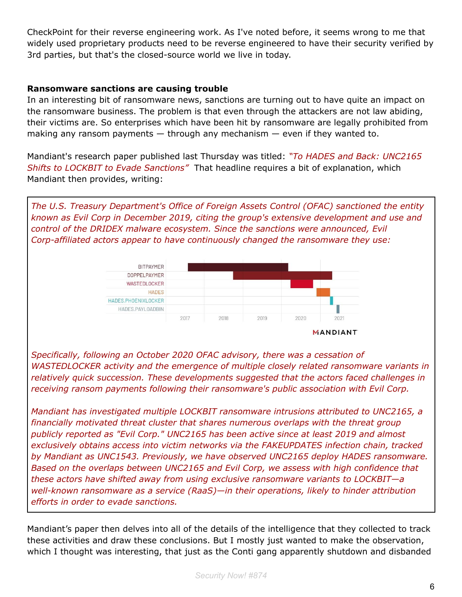CheckPoint for their reverse engineering work. As I've noted before, it seems wrong to me that widely used proprietary products need to be reverse engineered to have their security verified by 3rd parties, but that's the closed-source world we live in today.

#### **Ransomware sanctions are causing trouble**

In an interesting bit of ransomware news, sanctions are turning out to have quite an impact on the ransomware business. The problem is that even through the attackers are not law abiding, their victims are. So enterprises which have been hit by ransomware are legally prohibited from making any ransom payments  $-$  through any mechanism  $-$  even if they wanted to.

Mandiant's research paper published last Thursday was titled: *"To HADES and Back: UNC2165 Shifts to LOCKBIT to Evade Sanctions"* That headline requires a bit of explanation, which Mandiant then provides, writing:

*The U.S. Treasury Department's Office of Foreign Assets Control (OFAC) sanctioned the entity known as Evil Corp in December 2019, citing the group's extensive development and use and control of the DRIDEX malware ecosystem. Since the sanctions were announced, Evil Corp-affiliated actors appear to have continuously changed the ransomware they use:*



*Specifically, following an October 2020 OFAC advisory, there was a cessation of WASTEDLOCKER activity and the emergence of multiple closely related ransomware variants in relatively quick succession. These developments suggested that the actors faced challenges in receiving ransom payments following their ransomware's public association with Evil Corp.*

*Mandiant has investigated multiple LOCKBIT ransomware intrusions attributed to UNC2165, a financially motivated threat cluster that shares numerous overlaps with the threat group publicly reported as "Evil Corp." UNC2165 has been active since at least 2019 and almost exclusively obtains access into victim networks via the FAKEUPDATES infection chain, tracked by Mandiant as UNC1543. Previously, we have observed UNC2165 deploy HADES ransomware. Based on the overlaps between UNC2165 and Evil Corp, we assess with high confidence that these actors have shifted away from using exclusive ransomware variants to LOCKBIT—a well-known ransomware as a service (RaaS)—in their operations, likely to hinder attribution efforts in order to evade sanctions.*

Mandiant's paper then delves into all of the details of the intelligence that they collected to track these activities and draw these conclusions. But I mostly just wanted to make the observation, which I thought was interesting, that just as the Conti gang apparently shutdown and disbanded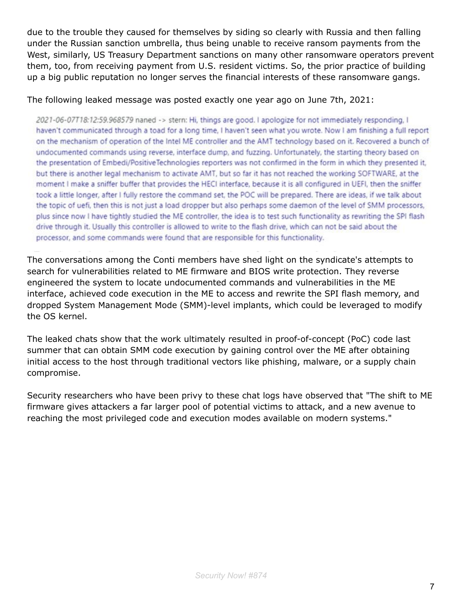due to the trouble they caused for themselves by siding so clearly with Russia and then falling under the Russian sanction umbrella, thus being unable to receive ransom payments from the West, similarly, US Treasury Department sanctions on many other ransomware operators prevent them, too, from receiving payment from U.S. resident victims. So, the prior practice of building up a big public reputation no longer serves the financial interests of these ransomware gangs.

#### The following leaked message was posted exactly one year ago on June 7th, 2021:

2021-06-07T18:12:59.968579 naned -> stern: Hi, things are good. I apologize for not immediately responding, I haven't communicated through a toad for a long time, I haven't seen what you wrote. Now I am finishing a full report on the mechanism of operation of the Intel ME controller and the AMT technology based on it. Recovered a bunch of undocumented commands using reverse, interface dump, and fuzzing. Unfortunately, the starting theory based on the presentation of Embedi/PositiveTechnologies reporters was not confirmed in the form in which they presented it, but there is another legal mechanism to activate AMT, but so far it has not reached the working SOFTWARE, at the moment I make a sniffer buffer that provides the HECI interface, because it is all configured in UEFI, then the sniffer took a little longer, after I fully restore the command set, the POC will be prepared. There are ideas, if we talk about the topic of uefi, then this is not just a load dropper but also perhaps some daemon of the level of SMM processors, plus since now I have tightly studied the ME controller, the idea is to test such functionality as rewriting the SPI flash drive through it. Usually this controller is allowed to write to the flash drive, which can not be said about the processor, and some commands were found that are responsible for this functionality.

The conversations among the Conti members have shed light on the syndicate's attempts to search for vulnerabilities related to ME firmware and BIOS write protection. They reverse engineered the system to locate undocumented commands and vulnerabilities in the ME interface, achieved code execution in the ME to access and rewrite the SPI flash memory, and dropped System Management Mode (SMM)-level implants, which could be leveraged to modify the OS kernel.

The leaked chats show that the work ultimately resulted in proof-of-concept (PoC) code last summer that can obtain SMM code execution by gaining control over the ME after obtaining initial access to the host through traditional vectors like phishing, malware, or a supply chain compromise.

Security researchers who have been privy to these chat logs have observed that "The shift to ME firmware gives attackers a far larger pool of potential victims to attack, and a new avenue to reaching the most privileged code and execution modes available on modern systems."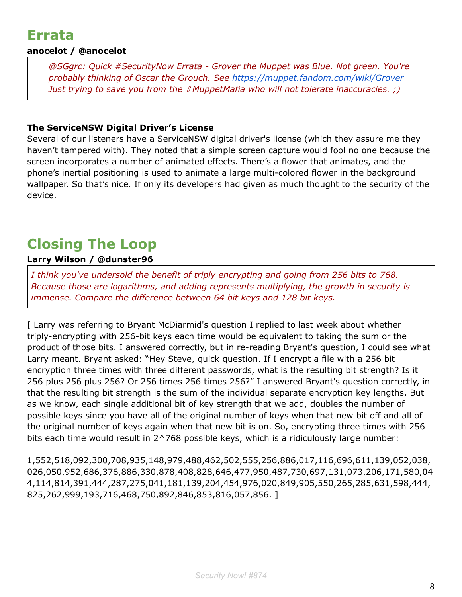# **Errata**

# **anocelot / @anocelot**

*@SGgrc: Quick #SecurityNow Errata - Grover the Muppet was Blue. Not green. You're probably thinking of Oscar the Grouch. See <https://muppet.fandom.com/wiki/Grover> Just trying to save you from the #MuppetMafia who will not tolerate inaccuracies. ;)*

# **The ServiceNSW Digital Driver's License**

Several of our listeners have a ServiceNSW digital driver's license (which they assure me they haven't tampered with). They noted that a simple screen capture would fool no one because the screen incorporates a number of animated effects. There's a flower that animates, and the phone's inertial positioning is used to animate a large multi-colored flower in the background wallpaper. So that's nice. If only its developers had given as much thought to the security of the device.

# **Closing The Loop**

# **Larry Wilson / @dunster96**

*I think you've undersold the benefit of triply encrypting and going from 256 bits to 768. Because those are logarithms, and adding represents multiplying, the growth in security is immense. Compare the difference between 64 bit keys and 128 bit keys.*

[ Larry was referring to Bryant McDiarmid's question I replied to last week about whether triply-encrypting with 256-bit keys each time would be equivalent to taking the sum or the product of those bits. I answered correctly, but in re-reading Bryant's question, I could see what Larry meant. Bryant asked: "Hey Steve, quick question. If I encrypt a file with a 256 bit encryption three times with three different passwords, what is the resulting bit strength? Is it 256 plus 256 plus 256? Or 256 times 256 times 256?" I answered Bryant's question correctly, in that the resulting bit strength is the sum of the individual separate encryption key lengths. But as we know, each single additional bit of key strength that we add, doubles the number of possible keys since you have all of the original number of keys when that new bit off and all of the original number of keys again when that new bit is on. So, encrypting three times with 256 bits each time would result in 2^768 possible keys, which is a ridiculously large number:

1,552,518,092,300,708,935,148,979,488,462,502,555,256,886,017,116,696,611,139,052,038, 026,050,952,686,376,886,330,878,408,828,646,477,950,487,730,697,131,073,206,171,580,04 4,114,814,391,444,287,275,041,181,139,204,454,976,020,849,905,550,265,285,631,598,444, 825,262,999,193,716,468,750,892,846,853,816,057,856. ]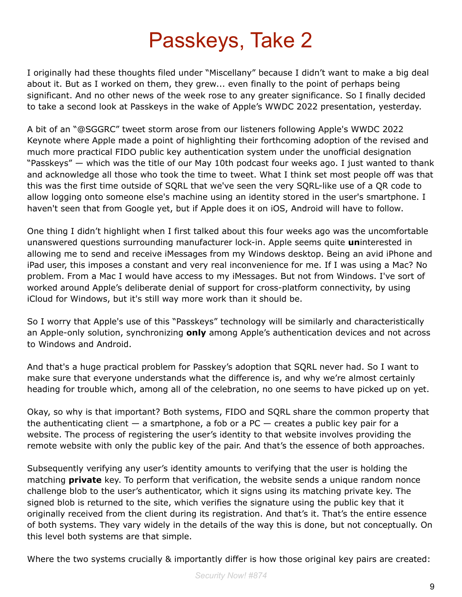# Passkeys, Take 2

I originally had these thoughts filed under "Miscellany" because I didn't want to make a big deal about it. But as I worked on them, they grew... even finally to the point of perhaps being significant. And no other news of the week rose to any greater significance. So I finally decided to take a second look at Passkeys in the wake of Apple's WWDC 2022 presentation, yesterday.

A bit of an "@SGGRC" tweet storm arose from our listeners following Apple's WWDC 2022 Keynote where Apple made a point of highlighting their forthcoming adoption of the revised and much more practical FIDO public key authentication system under the unofficial designation "Passkeys" — which was the title of our May 10th podcast four weeks ago. I just wanted to thank and acknowledge all those who took the time to tweet. What I think set most people off was that this was the first time outside of SQRL that we've seen the very SQRL-like use of a QR code to allow logging onto someone else's machine using an identity stored in the user's smartphone. I haven't seen that from Google yet, but if Apple does it on iOS, Android will have to follow.

One thing I didn't highlight when I first talked about this four weeks ago was the uncomfortable unanswered questions surrounding manufacturer lock-in. Apple seems quite **un**interested in allowing me to send and receive iMessages from my Windows desktop. Being an avid iPhone and iPad user, this imposes a constant and very real inconvenience for me. If I was using a Mac? No problem. From a Mac I would have access to my iMessages. But not from Windows. I've sort of worked around Apple's deliberate denial of support for cross-platform connectivity, by using iCloud for Windows, but it's still way more work than it should be.

So I worry that Apple's use of this "Passkeys" technology will be similarly and characteristically an Apple-only solution, synchronizing **only** among Apple's authentication devices and not across to Windows and Android.

And that's a huge practical problem for Passkey's adoption that SQRL never had. So I want to make sure that everyone understands what the difference is, and why we're almost certainly heading for trouble which, among all of the celebration, no one seems to have picked up on yet.

Okay, so why is that important? Both systems, FIDO and SQRL share the common property that the authenticating client  $-$  a smartphone, a fob or a PC  $-$  creates a public key pair for a website. The process of registering the user's identity to that website involves providing the remote website with only the public key of the pair. And that's the essence of both approaches.

Subsequently verifying any user's identity amounts to verifying that the user is holding the matching **private** key. To perform that verification, the website sends a unique random nonce challenge blob to the user's authenticator, which it signs using its matching private key. The signed blob is returned to the site, which verifies the signature using the public key that it originally received from the client during its registration. And that's it. That's the entire essence of both systems. They vary widely in the details of the way this is done, but not conceptually. On this level both systems are that simple.

Where the two systems crucially & importantly differ is how those original key pairs are created: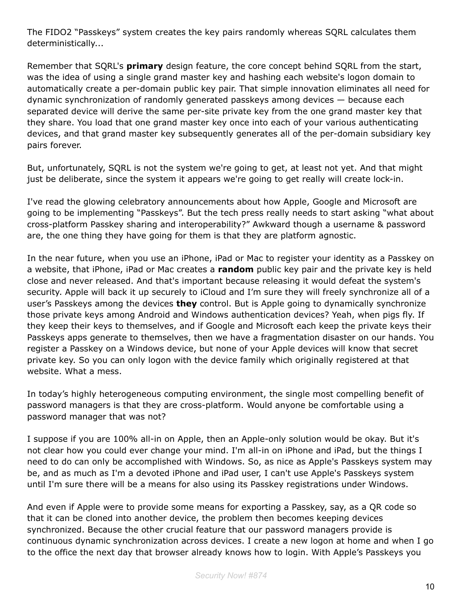The FIDO2 "Passkeys" system creates the key pairs randomly whereas SQRL calculates them deterministically...

Remember that SQRL's **primary** design feature, the core concept behind SQRL from the start, was the idea of using a single grand master key and hashing each website's logon domain to automatically create a per-domain public key pair. That simple innovation eliminates all need for dynamic synchronization of randomly generated passkeys among devices — because each separated device will derive the same per-site private key from the one grand master key that they share. You load that one grand master key once into each of your various authenticating devices, and that grand master key subsequently generates all of the per-domain subsidiary key pairs forever.

But, unfortunately, SQRL is not the system we're going to get, at least not yet. And that might just be deliberate, since the system it appears we're going to get really will create lock-in.

I've read the glowing celebratory announcements about how Apple, Google and Microsoft are going to be implementing "Passkeys". But the tech press really needs to start asking "what about cross-platform Passkey sharing and interoperability?" Awkward though a username & password are, the one thing they have going for them is that they are platform agnostic.

In the near future, when you use an iPhone, iPad or Mac to register your identity as a Passkey on a website, that iPhone, iPad or Mac creates a **random** public key pair and the private key is held close and never released. And that's important because releasing it would defeat the system's security. Apple will back it up securely to iCloud and I'm sure they will freely synchronize all of a user's Passkeys among the devices **they** control. But is Apple going to dynamically synchronize those private keys among Android and Windows authentication devices? Yeah, when pigs fly. If they keep their keys to themselves, and if Google and Microsoft each keep the private keys their Passkeys apps generate to themselves, then we have a fragmentation disaster on our hands. You register a Passkey on a Windows device, but none of your Apple devices will know that secret private key. So you can only logon with the device family which originally registered at that website. What a mess.

In today's highly heterogeneous computing environment, the single most compelling benefit of password managers is that they are cross-platform. Would anyone be comfortable using a password manager that was not?

I suppose if you are 100% all-in on Apple, then an Apple-only solution would be okay. But it's not clear how you could ever change your mind. I'm all-in on iPhone and iPad, but the things I need to do can only be accomplished with Windows. So, as nice as Apple's Passkeys system may be, and as much as I'm a devoted iPhone and iPad user, I can't use Apple's Passkeys system until I'm sure there will be a means for also using its Passkey registrations under Windows.

And even if Apple were to provide some means for exporting a Passkey, say, as a QR code so that it can be cloned into another device, the problem then becomes keeping devices synchronized. Because the other crucial feature that our password managers provide is continuous dynamic synchronization across devices. I create a new logon at home and when I go to the office the next day that browser already knows how to login. With Apple's Passkeys you